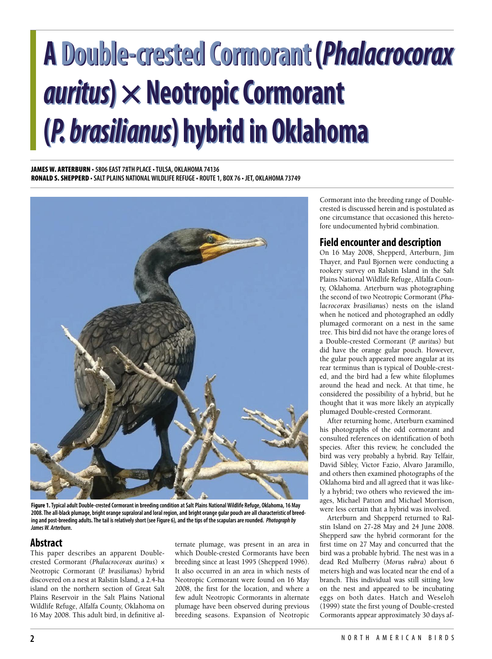# **A Double-crested Cormorant (***Phalacrocorax* **A Double-crested Cormorant (***Phalacrocorax auritus***)×NeotropicCormorant** *auritus***)×NeotropicCormorant (***P. brasilianus***) hybrid in Oklahoma (***P. brasilianus***) hybrid in Oklahoma**

**JAMES W. ARTERBURN • 5806 EAST 78TH PLACE•TULSA, OKLAHOMA 74136 RONALD S. SHEPPERD •SALT PLAINS NATIONALWILDLIFE REFUGE• ROUTE 1, BOX 76 • JET, OKLAHOMA 73749**



Figure 1. Typical adult Double-crested Cormorant in breeding condition at Salt Plains National Wildlife Refuge, Oklahoma, 16 May 2008. The all-black plumage, bright orange supraloral and loral region, and bright orange gular pouch are all characteristic of breeding and post-breeding adults. The tail is relatively short (see Figure 6), and the tips of the scapulars are rounded. Photograph by *JamesW. Arterburn***.**

# **Abstract**

This paper describes an apparent Doublecrested Cormorant (*Phalacrocorax auritus*) × Neotropic Cormorant (*P. brasilianus*) hybrid discovered on a nest at Ralstin Island, a 2.4-ha island on the northern section of Great Salt Plains Reservoir in the Salt Plains National Wildlife Refuge, Alfalfa County, Oklahoma on 16 May 2008. This adult bird, in definitive alternate plumage, was present in an area in which Double-crested Cormorants have been breeding since at least 1995 (Shepperd 1996). It also occurred in an area in which nests of Neotropic Cormorant were found on 16 May 2008, the first for the location, and where a few adult Neotropic Cormorants in alternate plumage have been observed during previous breeding seasons. Expansion of Neotropic Cormorant into the breeding range of Doublecrested is discussed herein and is postulated as one circumstance that occasioned this heretofore undocumented hybrid combination.

# **Field encounter and description**

On 16 May 2008, Shepperd, Arterburn, Jim Thayer, and Paul Bjornen were conducting a rookery survey on Ralstin Island in the Salt Plains National Wildlife Refuge, Alfalfa County, Oklahoma. Arterburn was photographing the second of two Neotropic Cormorant (*Phalacrocorax brasilianus*) nests on the island when he noticed and photographed an oddly plumaged cormorant on a nest in the same tree. This bird did not have the orange lores of a Double-crested Cormorant (*P. auritus*) but did have the orange gular pouch. However, the gular pouch appeared more angular at its rear terminus than is typical of Double-crested, and the bird had a few white filoplumes around the head and neck. At that time, he considered the possibility of a hybrid, but he thought that it was more likely an atypically plumaged Double-crested Cormorant.

After returning home, Arterburn examined his photographs of the odd cormorant and consulted references on identification of both species. After this review, he concluded the bird was very probably a hybrid. Ray Telfair, David Sibley, Victor Fazio, Alvaro Jaramillo, and others then examined photographs of the Oklahoma bird and all agreed that it was likely a hybrid; two others who reviewed the images, Michael Patton and Michael Morrison, were less certain that a hybrid was involved.

Arterburn and Shepperd returned to Ralstin Island on 27-28 May and 24 June 2008. Shepperd saw the hybrid cormorant for the first time on 27 May and concurred that the bird was a probable hybrid. The nest was in a dead Red Mulberry (*Morus rubra*) about 6 meters high and was located near the end of a branch. This individual was still sitting low on the nest and appeared to be incubating eggs on both dates. Hatch and Weseloh (1999) state the first young of Double-crested Cormorants appear approximately 30 days af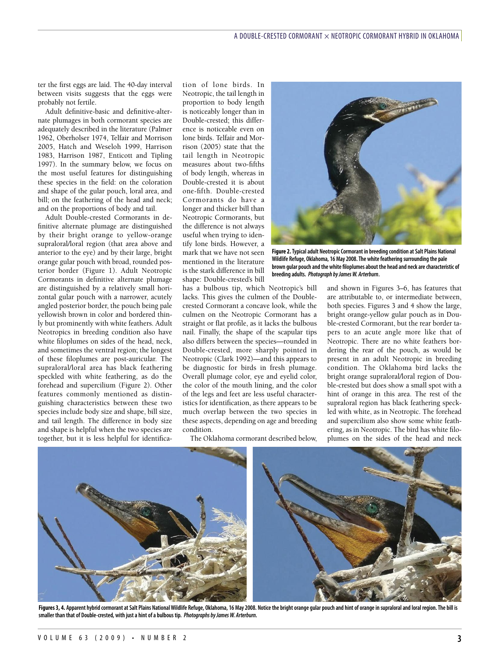ter the first eggs are laid. The 40-day interval between visits suggests that the eggs were probably not fertile.

Adult definitive-basic and definitive-alternate plumages in both cormorant species are adequately described in the literature (Palmer 1962, Oberholser 1974, Telfair and Morrison 2005, Hatch and Weseloh 1999, Harrison 1983, Harrison 1987, Enticott and Tipling 1997). In the summary below, we focus on the most useful features for distinguishing these species in the field: on the coloration and shape of the gular pouch, loral area, and bill; on the feathering of the head and neck; and on the proportions of body and tail.

Adult Double-crested Cormorants in definitive alternate plumage are distinguished by their bright orange to yellow-orange supraloral/loral region (that area above and anterior to the eye) and by their large, bright orange gular pouch with broad, rounded posterior border (Figure 1). Adult Neotropic Cormorants in definitive alternate plumage are distinguished by a relatively small horizontal gular pouch with a narrower, acutely angled posterior border, the pouch being pale yellowish brown in color and bordered thinly but prominently with white feathers. Adult Neotropics in breeding condition also have white filoplumes on sides of the head, neck, and sometimes the ventral region; the longest of these filoplumes are post-auricular. The supraloral/loral area has black feathering speckled with white feathering, as do the forehead and supercilium (Figure 2). Other features commonly mentioned as distinguishing characteristics between these two species include body size and shape, bill size, and tail length. The difference in body size and shape is helpful when the two species are together, but it is less helpful for identification of lone birds. In Neotropic, the tail length in proportion to body length is noticeably longer than in Double-crested; this difference is noticeable even on lone birds. Telfair and Morrison (2005) state that the tail length in Neotropic measures about two-fifths of body length, whereas in Double-crested it is about one-fifth. Double-crested Cormorants do have a longer and thicker bill than Neotropic Cormorants, but the difference is not always useful when trying to identify lone birds. However, a mark that we have not seen mentioned in the literature is the stark difference in bill shape: Double-crested's bill

has a bulbous tip, which Neotropic's bill lacks. This gives the culmen of the Doublecrested Cormorant a concave look, while the culmen on the Neotropic Cormorant has a straight or flat profile, as it lacks the bulbous nail. Finally, the shape of the scapular tips also differs between the species—rounded in Double-crested, more sharply pointed in Neotropic (Clark 1992)—and this appears to be diagnostic for birds in fresh plumage. Overall plumage color, eye and eyelid color, the color of the mouth lining, and the color of the legs and feet are less useful characteristics for identification, as there appears to be much overlap between the two species in these aspects, depending on age and breeding condition.

The Oklahoma cormorant described below,



**Figure 2.Typicaladult NeotropicCormorant in breeding condition atSalt Plains National Wildlife Refuge, Oklahoma, 16 May 2008.The whitefeathering surrounding the pale brown gular pouch and the white filoplumesabout the head and neckarecharacteristic of breeding adults.** *Photograph byJamesW. Arterburn***.**

and shown in Figures 3–6, has features that are attributable to, or intermediate between, both species. Figures 3 and 4 show the large, bright orange-yellow gular pouch as in Double-crested Cormorant, but the rear border tapers to an acute angle more like that of Neotropic. There are no white feathers bordering the rear of the pouch, as would be present in an adult Neotropic in breeding condition. The Oklahoma bird lacks the bright orange supraloral/loral region of Double-crested but does show a small spot with a hint of orange in this area. The rest of the supraloral region has black feathering speckled with white, as in Neotropic. The forehead and supercilium also show some white feathering, as in Neotropic. The bird has white filoplumes on the sides of the head and neck



Figures 3, 4. Apparent hybrid cormorant at Salt Plains National Wildlife Refuge, Oklahoma, 16 May 2008. Notice the bright orange gular pouch and hint of orange in supraloral and loral region. The bill is **smaller than that of Double-crested, with justa hint ofa bulbous tip.** *Photographs byJamesW. Arterburn.*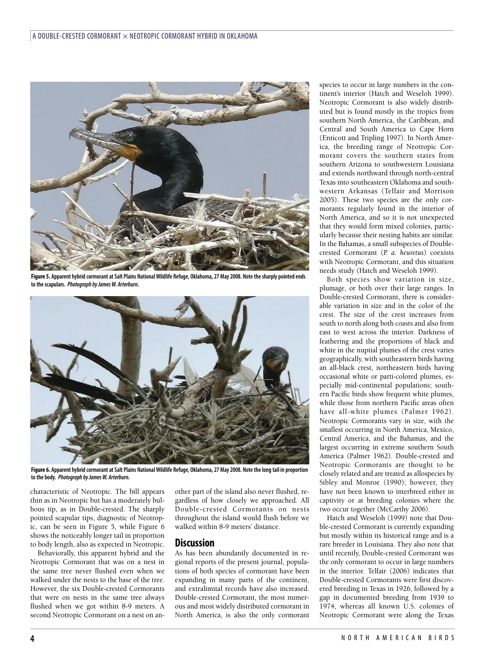

Figure 5. Apparent hybrid cormorant at Salt Plains National Wildlife Refuge, Oklahoma, 27 May 2008. Note the sharply pointed ends **to thescapulars.** *Photograph byJamesW. Arterburn.*



Figure 6. Apparent hybrid cormorant at Salt Plains National Wildlife Refuge, Oklahoma, 27 May 2008. Note the long tail in proportion **to the body.** *Photograph byJamesW. Arterburn.*

characteristic of Neotropic. The bill appears thin as in Neotropic but has a moderately bulbous tip, as in Double-crested. The sharply pointed scapular tips, diagnostic of Neotropic, can be seen in Figure 5, while Figure 6 shows the noticeably longer tail in proportion to body length, also as expected in Neotropic.

Behaviorally, this apparent hybrid and the Neotropic Cormorant that was on a nest in the same tree never flushed even when we walked under the nests to the base of the tree. However, the six Double-crested Cormorants that were on nests in the same tree always flushed when we got within 8-9 meters. A second Neotropic Cormorant on a nest on another part of the island also never flushed, regardless of how closely we approached. All Double-crested Cormorants on nests throughout the island would flush before we walked within 8-9 meters' distance.

## **Discussion**

As has been abundantly documented in regional reports of the present journal, populations of both species of cormorant have been expanding in many parts of the continent, and extralimital records have also increased. Double-crested Cormorant, the most numerous and most widely distributed cormorant in North America, is also the only cormorant

species to occur in large numbers in the continent's interior (Hatch and Weseloh 1999). Neotropic Cormorant is also widely distributed but is found mostly in the tropics from southern North America, the Caribbean, and Central and South America to Cape Horn (Enticott and Tripling 1997). In North America, the breeding range of Neotropic Cormorant covers the southern states from southern Arizona to southwestern Louisiana and extends northward through north-central Texas into southeastern Oklahoma and southwestern Arkansas (Telfair and Morrison 2005). These two species are the only cormorants regularly found in the interior of North America, and so it is not unexpected that they would form mixed colonies, particularly because their nesting habits are similar. In the Bahamas, a small subspecies of Doublecrested Cormorant (*P. a. heuretus*) coexists with Neotropic Cormorant, and this situation needs study (Hatch and Weseloh 1999).

Both species show variation in size, plumage, or both over their large ranges. In Double-crested Cormorant, there is considerable variation in size and in the color of the crest. The size of the crest increases from south to north along both coasts and also from east to west across the interior. Darkness of feathering and the proportions of black and white in the nuptial plumes of the crest varies geographically, with southeastern birds having an all-black crest, northeastern birds having occasional white or parti-colored plumes, especially mid-continental populations; southern Pacific birds show frequent white plumes, while those from northern Pacific areas often have all-white plumes (Palmer 1962). Neotropic Cormorants vary in size, with the smallest occurring in North America, Mexico, Central America, and the Bahamas, and the largest occurring in extreme southern South America (Palmer 1962). Double-crested and Neotropic Cormorants are thought to be closely related and are treated as allospecies by Sibley and Monroe (1990); however, they have not been known to interbreed either in captivity or at breeding colonies where the two occur together (McCarthy 2006).

Hatch and Weseloh (1999) note that Double-crested Cormorant is currently expanding but mostly within its historical range and is a rare breeder in Louisiana. They also note that until recently, Double-crested Cormorant was the only cormorant to occur in large numbers in the interior. Telfair (2006) indicates that Double-crested Cormorants were first discovered breeding in Texas in 1926, followed by a gap in documented breeding from 1939 to 1974, whereas all known U.S. colonies of Neotropic Cormorant were along the Texas